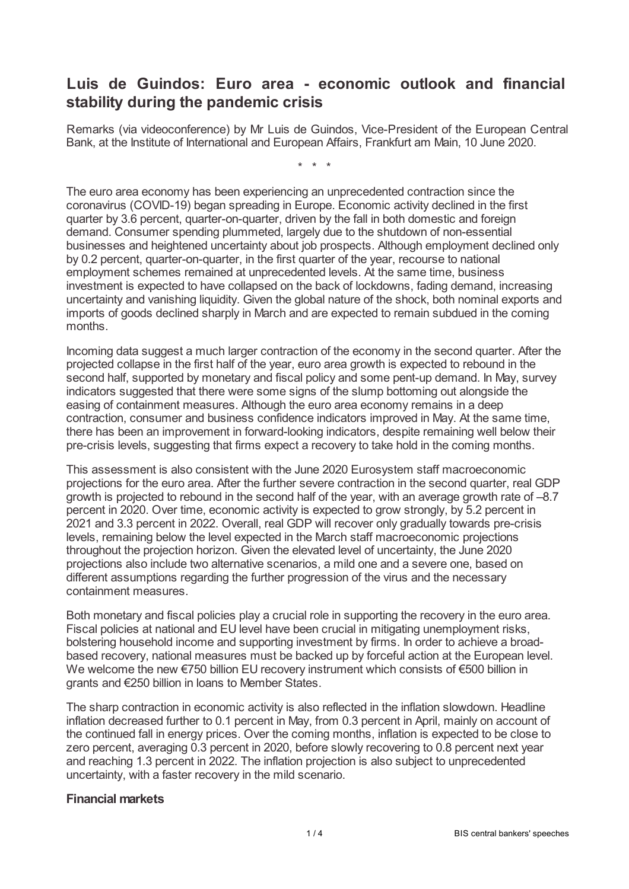## **Luis de Guindos: Euro area - economic outlook and financial stability during the pandemic crisis**

Remarks (via videoconference) by Mr Luis de Guindos, Vice-President of the European Central Bank, at the Institute of International and European Affairs, Frankfurt am Main, 10 June 2020.

\* \* \*

The euro area economy has been experiencing an unprecedented contraction since the coronavirus (COVID-19) began spreading in Europe. Economic activity declined in the first quarter by 3.6 percent, quarter-on-quarter, driven by the fall in both domestic and foreign demand. Consumer spending plummeted, largely due to the shutdown of non-essential businesses and heightened uncertainty about job prospects. Although employment declined only by 0.2 percent, quarter-on-quarter, in the first quarter of the year, recourse to national employment schemes remained at unprecedented levels. At the same time, business investment is expected to have collapsed on the back of lockdowns, fading demand, increasing uncertainty and vanishing liquidity. Given the global nature of the shock, both nominal exports and imports of goods declined sharply in March and are expected to remain subdued in the coming months.

Incoming data suggest a much larger contraction of the economy in the second quarter. After the projected collapse in the first half of the year, euro area growth is expected to rebound in the second half, supported by monetary and fiscal policy and some pent-up demand. In May, survey indicators suggested that there were some signs of the slump bottoming out alongside the easing of containment measures. Although the euro area economy remains in a deep contraction, consumer and business confidence indicators improved in May. At the same time, there has been an improvement in forward-looking indicators, despite remaining well below their pre-crisis levels, suggesting that firms expect a recovery to take hold in the coming months.

This assessment is also consistent with the June 2020 Eurosystem staff macroeconomic projections for the euro area. After the further severe contraction in the second quarter, real GDP growth is projected to rebound in the second half of the year, with an average growth rate of –8.7 percent in 2020. Over time, economic activity is expected to grow strongly, by 5.2 percent in 2021 and 3.3 percent in 2022. Overall, real GDP will recover only gradually towards pre-crisis levels, remaining below the level expected in the March staff macroeconomic projections throughout the projection horizon. Given the elevated level of uncertainty, the June 2020 projections also include two alternative scenarios, a mild one and a severe one, based on different assumptions regarding the further progression of the virus and the necessary containment measures.

Both monetary and fiscal policies play a crucial role in supporting the recovery in the euro area. Fiscal policies at national and EU level have been crucial in mitigating unemployment risks, bolstering household income and supporting investment by firms. In order to achieve a broadbased recovery, national measures must be backed up by forceful action at the European level. We welcome the new €750 billion EU recovery instrument which consists of €500 billion in grants and €250 billion in loans to Member States.

The sharp contraction in economic activity is also reflected in the inflation slowdown. Headline inflation decreased further to 0.1 percent in May, from 0.3 percent in April, mainly on account of the continued fall in energy prices. Over the coming months, inflation is expected to be close to zero percent, averaging 0.3 percent in 2020, before slowly recovering to 0.8 percent next year and reaching 1.3 percent in 2022. The inflation projection is also subject to unprecedented uncertainty, with a faster recovery in the mild scenario.

## **Financial markets**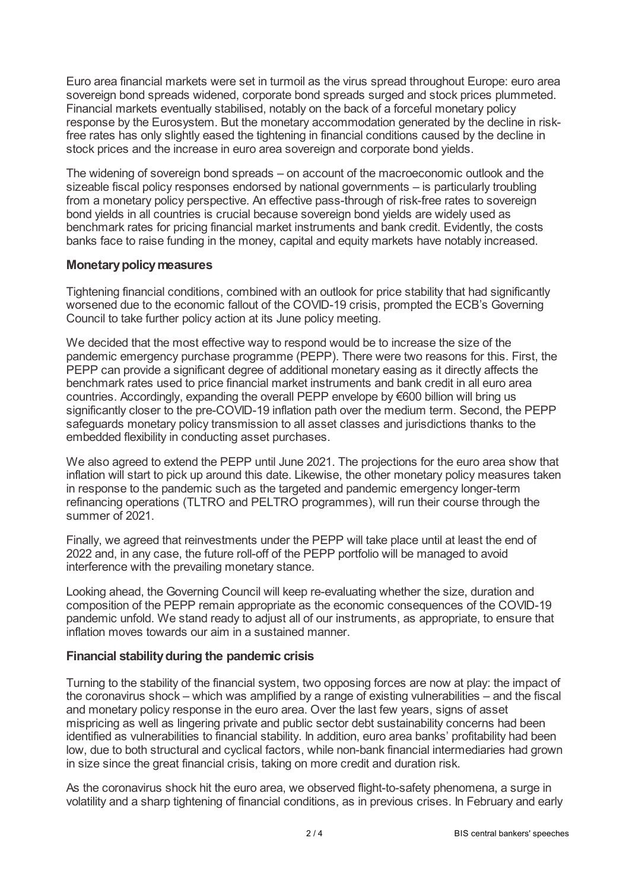Euro area financial markets were set in turmoil as the virus spread throughout Europe: euro area sovereign bond spreads widened, corporate bond spreads surged and stock prices plummeted. Financial markets eventually stabilised, notably on the back of a forceful monetary policy response by the Eurosystem. But the monetary accommodation generated by the decline in riskfree rates has only slightly eased the tightening in financial conditions caused by the decline in stock prices and the increase in euro area sovereign and corporate bond yields.

The widening of sovereign bond spreads – on account of the macroeconomic outlook and the sizeable fiscal policy responses endorsed by national governments – is particularly troubling from a monetary policy perspective. An effective pass-through of risk-free rates to sovereign bond yields in all countries is crucial because sovereign bond yields are widely used as benchmark rates for pricing financial market instruments and bank credit. Evidently, the costs banks face to raise funding in the money, capital and equity markets have notably increased.

## **Monetary policy measures**

Tightening financial conditions, combined with an outlook for price stability that had significantly worsened due to the economic fallout of the COVID-19 crisis, prompted the ECB's Governing Council to take further policy action at its June policy meeting.

We decided that the most effective way to respond would be to increase the size of the pandemic emergency purchase programme (PEPP). There were two reasons for this. First, the PEPP can provide a significant degree of additional monetary easing as it directly affects the benchmark rates used to price financial market instruments and bank credit in all euro area countries. Accordingly, expanding the overall PEPP envelope by €600 billion will bring us significantly closer to the pre-COVID-19 inflation path over the medium term. Second, the PEPP safeguards monetary policy transmission to all asset classes and jurisdictions thanks to the embedded flexibility in conducting asset purchases.

We also agreed to extend the PEPP until June 2021. The projections for the euro area show that inflation will start to pick up around this date. Likewise, the other monetary policy measures taken in response to the pandemic such as the targeted and pandemic emergency longer-term refinancing operations (TLTRO and PELTRO programmes), will run their course through the summer of 2021.

Finally, we agreed that reinvestments under the PEPP will take place until at least the end of 2022 and, in any case, the future roll-off of the PEPP portfolio will be managed to avoid interference with the prevailing monetary stance.

Looking ahead, the Governing Council will keep re-evaluating whether the size, duration and composition of the PEPP remain appropriate as the economic consequences of the COVID-19 pandemic unfold. We stand ready to adjust all of our instruments, as appropriate, to ensure that inflation moves towards our aim in a sustained manner.

## **Financial stabilityduring the pandemic crisis**

Turning to the stability of the financial system, two opposing forces are now at play: the impact of the coronavirus shock – which was amplified by a range of existing vulnerabilities – and the fiscal and monetary policy response in the euro area. Over the last few years, signs of asset mispricing as well as lingering private and public sector debt sustainability concerns had been identified as vulnerabilities to financial stability. In addition, euro area banks' profitability had been low, due to both structural and cyclical factors, while non-bank financial intermediaries had grown in size since the great financial crisis, taking on more credit and duration risk.

As the coronavirus shock hit the euro area, we observed flight-to-safety phenomena, a surge in volatility and a sharp tightening of financial conditions, as in previous crises. In February and early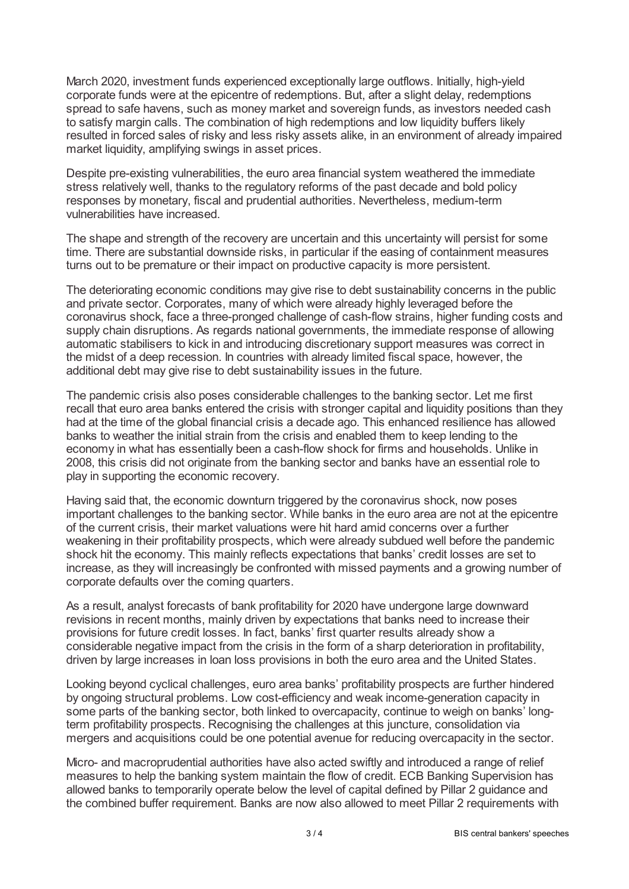March 2020, investment funds experienced exceptionally large outflows. Initially, high-yield corporate funds were at the epicentre of redemptions. But, after a slight delay, redemptions spread to safe havens, such as money market and sovereign funds, as investors needed cash to satisfy margin calls. The combination of high redemptions and low liquidity buffers likely resulted in forced sales of risky and less risky assets alike, in an environment of already impaired market liquidity, amplifying swings in asset prices.

Despite pre-existing vulnerabilities, the euro area financial system weathered the immediate stress relatively well, thanks to the regulatory reforms of the past decade and bold policy responses by monetary, fiscal and prudential authorities. Nevertheless, medium-term vulnerabilities have increased.

The shape and strength of the recovery are uncertain and this uncertainty will persist for some time. There are substantial downside risks, in particular if the easing of containment measures turns out to be premature or their impact on productive capacity is more persistent.

The deteriorating economic conditions may give rise to debt sustainability concerns in the public and private sector. Corporates, many of which were already highly leveraged before the coronavirus shock, face a three-pronged challenge of cash-flow strains, higher funding costs and supply chain disruptions. As regards national governments, the immediate response of allowing automatic stabilisers to kick in and introducing discretionary support measures was correct in the midst of a deep recession. In countries with already limited fiscal space, however, the additional debt may give rise to debt sustainability issues in the future.

The pandemic crisis also poses considerable challenges to the banking sector. Let me first recall that euro area banks entered the crisis with stronger capital and liquidity positions than they had at the time of the global financial crisis a decade ago. This enhanced resilience has allowed banks to weather the initial strain from the crisis and enabled them to keep lending to the economy in what has essentially been a cash-flow shock for firms and households. Unlike in 2008, this crisis did not originate from the banking sector and banks have an essential role to play in supporting the economic recovery.

Having said that, the economic downturn triggered by the coronavirus shock, now poses important challenges to the banking sector. While banks in the euro area are not at the epicentre of the current crisis, their market valuations were hit hard amid concerns over a further weakening in their profitability prospects, which were already subdued well before the pandemic shock hit the economy. This mainly reflects expectations that banks' credit losses are set to increase, as they will increasingly be confronted with missed payments and a growing number of corporate defaults over the coming quarters.

As a result, analyst forecasts of bank profitability for 2020 have undergone large downward revisions in recent months, mainly driven by expectations that banks need to increase their provisions for future credit losses. In fact, banks' first quarter results already show a considerable negative impact from the crisis in the form of a sharp deterioration in profitability, driven by large increases in loan loss provisions in both the euro area and the United States.

Looking beyond cyclical challenges, euro area banks' profitability prospects are further hindered by ongoing structural problems. Low cost-efficiency and weak income-generation capacity in some parts of the banking sector, both linked to overcapacity, continue to weigh on banks' longterm profitability prospects. Recognising the challenges at this juncture, consolidation via mergers and acquisitions could be one potential avenue for reducing overcapacity in the sector.

Micro- and macroprudential authorities have also acted swiftly and introduced a range of relief measures to help the banking system maintain the flow of credit. ECB Banking Supervision has allowed banks to temporarily operate below the level of capital defined by Pillar 2 guidance and the combined buffer requirement. Banks are now also allowed to meet Pillar 2 requirements with